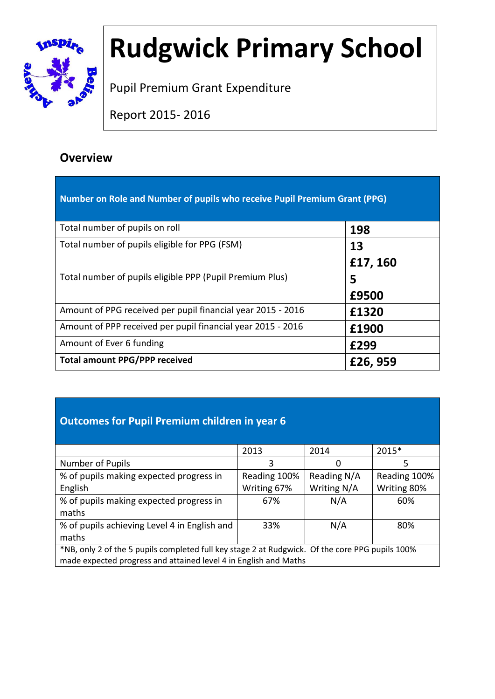

# **Rudgwick Primary School**

Pupil Premium Grant Expenditure

Report 2015- 2016

### **Overview**

| Number on Role and Number of pupils who receive Pupil Premium Grant (PPG) |          |
|---------------------------------------------------------------------------|----------|
| Total number of pupils on roll                                            | 198      |
| Total number of pupils eligible for PPG (FSM)                             | 13       |
|                                                                           | £17, 160 |
| Total number of pupils eligible PPP (Pupil Premium Plus)                  | 5        |
|                                                                           | £9500    |
| Amount of PPG received per pupil financial year 2015 - 2016               | £1320    |
| Amount of PPP received per pupil financial year 2015 - 2016               | £1900    |
| Amount of Ever 6 funding                                                  | £299     |
| <b>Total amount PPG/PPP received</b>                                      | £26, 959 |

#### **Outcomes for Pupil Premium children in year 6**

|                                                                                                 | 2013         | 2014        | 2015*        |
|-------------------------------------------------------------------------------------------------|--------------|-------------|--------------|
| Number of Pupils                                                                                | 3            | O           | 5            |
| % of pupils making expected progress in                                                         | Reading 100% | Reading N/A | Reading 100% |
| English                                                                                         | Writing 67%  | Writing N/A | Writing 80%  |
| % of pupils making expected progress in                                                         | 67%          | N/A         | 60%          |
| maths                                                                                           |              |             |              |
| % of pupils achieving Level 4 in English and                                                    | 33%          | N/A         | 80%          |
| maths                                                                                           |              |             |              |
| *NB, only 2 of the 5 pupils completed full key stage 2 at Rudgwick. Of the core PPG pupils 100% |              |             |              |
| made expected progress and attained level 4 in English and Maths                                |              |             |              |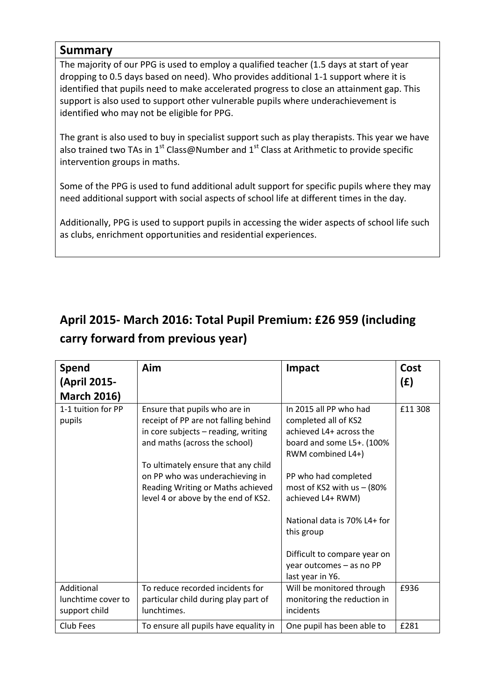#### **Summary**

The majority of our PPG is used to employ a qualified teacher (1.5 days at start of year dropping to 0.5 days based on need). Who provides additional 1-1 support where it is identified that pupils need to make accelerated progress to close an attainment gap. This support is also used to support other vulnerable pupils where underachievement is identified who may not be eligible for PPG.

The grant is also used to buy in specialist support such as play therapists. This year we have also trained two TAs in 1<sup>st</sup> Class@Number and 1<sup>st</sup> Class at Arithmetic to provide specific intervention groups in maths.

Some of the PPG is used to fund additional adult support for specific pupils where they may need additional support with social aspects of school life at different times in the day.

Additionally, PPG is used to support pupils in accessing the wider aspects of school life such as clubs, enrichment opportunities and residential experiences.

## **April 2015- March 2016: Total Pupil Premium: £26 959 (including carry forward from previous year)**

| <b>Spend</b><br>(April 2015-                      | Aim                                                                                                                                                                                                                                                                                                 | Impact                                                                                                                                                                                                                                                                                  | Cost<br>(E) |
|---------------------------------------------------|-----------------------------------------------------------------------------------------------------------------------------------------------------------------------------------------------------------------------------------------------------------------------------------------------------|-----------------------------------------------------------------------------------------------------------------------------------------------------------------------------------------------------------------------------------------------------------------------------------------|-------------|
| <b>March 2016)</b>                                |                                                                                                                                                                                                                                                                                                     |                                                                                                                                                                                                                                                                                         |             |
| 1-1 tuition for PP<br>pupils                      | Ensure that pupils who are in<br>receipt of PP are not falling behind<br>in core subjects - reading, writing<br>and maths (across the school)<br>To ultimately ensure that any child<br>on PP who was underachieving in<br>Reading Writing or Maths achieved<br>level 4 or above by the end of KS2. | In 2015 all PP who had<br>completed all of KS2<br>achieved L4+ across the<br>board and some L5+. (100%<br>RWM combined L4+)<br>PP who had completed<br>most of KS2 with $us - (80\%$<br>achieved L4+ RWM)<br>National data is 70% L4+ for<br>this group<br>Difficult to compare year on | £11 308     |
|                                                   |                                                                                                                                                                                                                                                                                                     | year outcomes - as no PP<br>last year in Y6.                                                                                                                                                                                                                                            |             |
| Additional<br>lunchtime cover to<br>support child | To reduce recorded incidents for<br>particular child during play part of<br>lunchtimes.                                                                                                                                                                                                             | Will be monitored through<br>monitoring the reduction in<br>incidents                                                                                                                                                                                                                   | £936        |
| Club Fees                                         | To ensure all pupils have equality in                                                                                                                                                                                                                                                               | One pupil has been able to                                                                                                                                                                                                                                                              | £281        |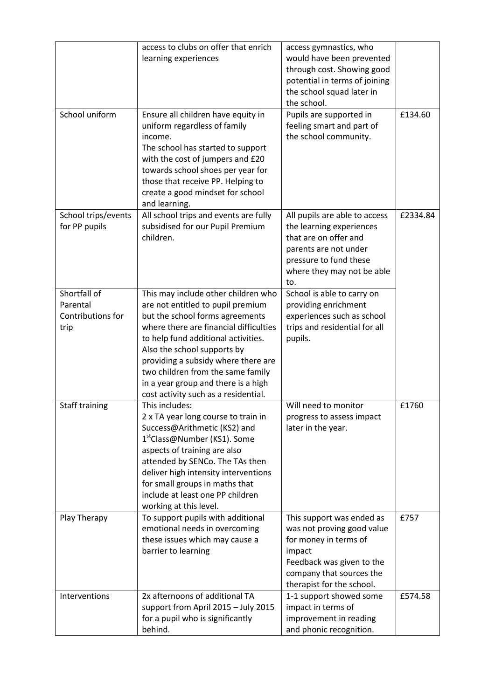|                                                       | access to clubs on offer that enrich<br>learning experiences                                                                                                                                                                                                                                                                                                                           | access gymnastics, who<br>would have been prevented<br>through cost. Showing good<br>potential in terms of joining<br>the school squad later in<br>the school.                   |          |
|-------------------------------------------------------|----------------------------------------------------------------------------------------------------------------------------------------------------------------------------------------------------------------------------------------------------------------------------------------------------------------------------------------------------------------------------------------|----------------------------------------------------------------------------------------------------------------------------------------------------------------------------------|----------|
| School uniform                                        | Ensure all children have equity in<br>uniform regardless of family<br>income.<br>The school has started to support<br>with the cost of jumpers and £20<br>towards school shoes per year for<br>those that receive PP. Helping to<br>create a good mindset for school<br>and learning.                                                                                                  | Pupils are supported in<br>feeling smart and part of<br>the school community.                                                                                                    | £134.60  |
| School trips/events<br>for PP pupils                  | All school trips and events are fully<br>subsidised for our Pupil Premium<br>children.                                                                                                                                                                                                                                                                                                 | All pupils are able to access<br>the learning experiences<br>that are on offer and<br>parents are not under<br>pressure to fund these<br>where they may not be able<br>to.       | £2334.84 |
| Shortfall of<br>Parental<br>Contributions for<br>trip | This may include other children who<br>are not entitled to pupil premium<br>but the school forms agreements<br>where there are financial difficulties<br>to help fund additional activities.<br>Also the school supports by<br>providing a subsidy where there are<br>two children from the same family<br>in a year group and there is a high<br>cost activity such as a residential. | School is able to carry on<br>providing enrichment<br>experiences such as school<br>trips and residential for all<br>pupils.                                                     |          |
| <b>Staff training</b>                                 | This includes:<br>2 x TA year long course to train in<br>Success@Arithmetic (KS2) and<br>1 <sup>st</sup> Class@Number (KS1). Some<br>aspects of training are also<br>attended by SENCo. The TAs then<br>deliver high intensity interventions<br>for small groups in maths that<br>include at least one PP children<br>working at this level.                                           | Will need to monitor<br>progress to assess impact<br>later in the year.                                                                                                          | £1760    |
| Play Therapy                                          | To support pupils with additional<br>emotional needs in overcoming<br>these issues which may cause a<br>barrier to learning                                                                                                                                                                                                                                                            | This support was ended as<br>was not proving good value<br>for money in terms of<br>impact<br>Feedback was given to the<br>company that sources the<br>therapist for the school. | £757     |
| Interventions                                         | 2x afternoons of additional TA<br>support from April 2015 - July 2015<br>for a pupil who is significantly<br>behind.                                                                                                                                                                                                                                                                   | 1-1 support showed some<br>impact in terms of<br>improvement in reading<br>and phonic recognition.                                                                               | £574.58  |